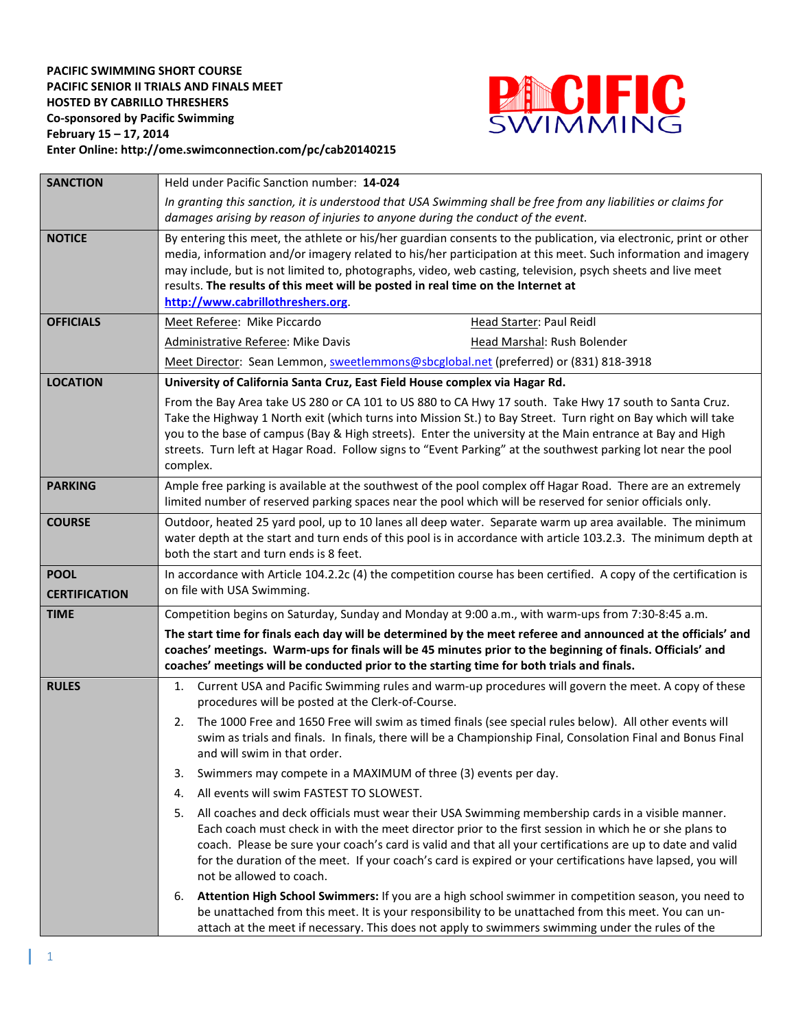

| <b>SANCTION</b>      | Held under Pacific Sanction number: 14-024                                                                                                                                                                                                                                                                                                                                                                                                                                 |  |  |  |  |  |  |  |  |  |  |
|----------------------|----------------------------------------------------------------------------------------------------------------------------------------------------------------------------------------------------------------------------------------------------------------------------------------------------------------------------------------------------------------------------------------------------------------------------------------------------------------------------|--|--|--|--|--|--|--|--|--|--|
|                      | In granting this sanction, it is understood that USA Swimming shall be free from any liabilities or claims for<br>damages arising by reason of injuries to anyone during the conduct of the event.                                                                                                                                                                                                                                                                         |  |  |  |  |  |  |  |  |  |  |
| <b>NOTICE</b>        | By entering this meet, the athlete or his/her guardian consents to the publication, via electronic, print or other<br>media, information and/or imagery related to his/her participation at this meet. Such information and imagery<br>may include, but is not limited to, photographs, video, web casting, television, psych sheets and live meet<br>results. The results of this meet will be posted in real time on the Internet at<br>http://www.cabrillothreshers.org |  |  |  |  |  |  |  |  |  |  |
| <b>OFFICIALS</b>     | Meet Referee: Mike Piccardo<br>Head Starter: Paul Reidl                                                                                                                                                                                                                                                                                                                                                                                                                    |  |  |  |  |  |  |  |  |  |  |
|                      | <b>Administrative Referee: Mike Davis</b><br>Head Marshal: Rush Bolender                                                                                                                                                                                                                                                                                                                                                                                                   |  |  |  |  |  |  |  |  |  |  |
|                      | Meet Director: Sean Lemmon, sweetlemmons@sbcglobal.net (preferred) or (831) 818-3918                                                                                                                                                                                                                                                                                                                                                                                       |  |  |  |  |  |  |  |  |  |  |
| <b>LOCATION</b>      | University of California Santa Cruz, East Field House complex via Hagar Rd.                                                                                                                                                                                                                                                                                                                                                                                                |  |  |  |  |  |  |  |  |  |  |
|                      | From the Bay Area take US 280 or CA 101 to US 880 to CA Hwy 17 south. Take Hwy 17 south to Santa Cruz.<br>Take the Highway 1 North exit (which turns into Mission St.) to Bay Street. Turn right on Bay which will take<br>you to the base of campus (Bay & High streets). Enter the university at the Main entrance at Bay and High<br>streets. Turn left at Hagar Road. Follow signs to "Event Parking" at the southwest parking lot near the pool<br>complex.           |  |  |  |  |  |  |  |  |  |  |
| <b>PARKING</b>       | Ample free parking is available at the southwest of the pool complex off Hagar Road. There are an extremely<br>limited number of reserved parking spaces near the pool which will be reserved for senior officials only.                                                                                                                                                                                                                                                   |  |  |  |  |  |  |  |  |  |  |
| <b>COURSE</b>        | Outdoor, heated 25 yard pool, up to 10 lanes all deep water. Separate warm up area available. The minimum<br>water depth at the start and turn ends of this pool is in accordance with article 103.2.3. The minimum depth at<br>both the start and turn ends is 8 feet.                                                                                                                                                                                                    |  |  |  |  |  |  |  |  |  |  |
| <b>POOL</b>          | In accordance with Article 104.2.2c (4) the competition course has been certified. A copy of the certification is                                                                                                                                                                                                                                                                                                                                                          |  |  |  |  |  |  |  |  |  |  |
| <b>CERTIFICATION</b> | on file with USA Swimming.                                                                                                                                                                                                                                                                                                                                                                                                                                                 |  |  |  |  |  |  |  |  |  |  |
| <b>TIME</b>          | Competition begins on Saturday, Sunday and Monday at 9:00 a.m., with warm-ups from 7:30-8:45 a.m.                                                                                                                                                                                                                                                                                                                                                                          |  |  |  |  |  |  |  |  |  |  |
|                      | The start time for finals each day will be determined by the meet referee and announced at the officials' and<br>coaches' meetings. Warm-ups for finals will be 45 minutes prior to the beginning of finals. Officials' and<br>coaches' meetings will be conducted prior to the starting time for both trials and finals.                                                                                                                                                  |  |  |  |  |  |  |  |  |  |  |
| <b>RULES</b>         | Current USA and Pacific Swimming rules and warm-up procedures will govern the meet. A copy of these<br>1.<br>procedures will be posted at the Clerk-of-Course.                                                                                                                                                                                                                                                                                                             |  |  |  |  |  |  |  |  |  |  |
|                      | The 1000 Free and 1650 Free will swim as timed finals (see special rules below). All other events will<br>2.<br>swim as trials and finals. In finals, there will be a Championship Final, Consolation Final and Bonus Final<br>and will swim in that order.                                                                                                                                                                                                                |  |  |  |  |  |  |  |  |  |  |
|                      | Swimmers may compete in a MAXIMUM of three (3) events per day.<br>3.                                                                                                                                                                                                                                                                                                                                                                                                       |  |  |  |  |  |  |  |  |  |  |
|                      | All events will swim FASTEST TO SLOWEST.<br>4.                                                                                                                                                                                                                                                                                                                                                                                                                             |  |  |  |  |  |  |  |  |  |  |
|                      | All coaches and deck officials must wear their USA Swimming membership cards in a visible manner.<br>5.<br>Each coach must check in with the meet director prior to the first session in which he or she plans to<br>coach. Please be sure your coach's card is valid and that all your certifications are up to date and valid<br>for the duration of the meet. If your coach's card is expired or your certifications have lapsed, you will<br>not be allowed to coach.  |  |  |  |  |  |  |  |  |  |  |
|                      | Attention High School Swimmers: If you are a high school swimmer in competition season, you need to<br>6.<br>be unattached from this meet. It is your responsibility to be unattached from this meet. You can un-<br>attach at the meet if necessary. This does not apply to swimmers swimming under the rules of the                                                                                                                                                      |  |  |  |  |  |  |  |  |  |  |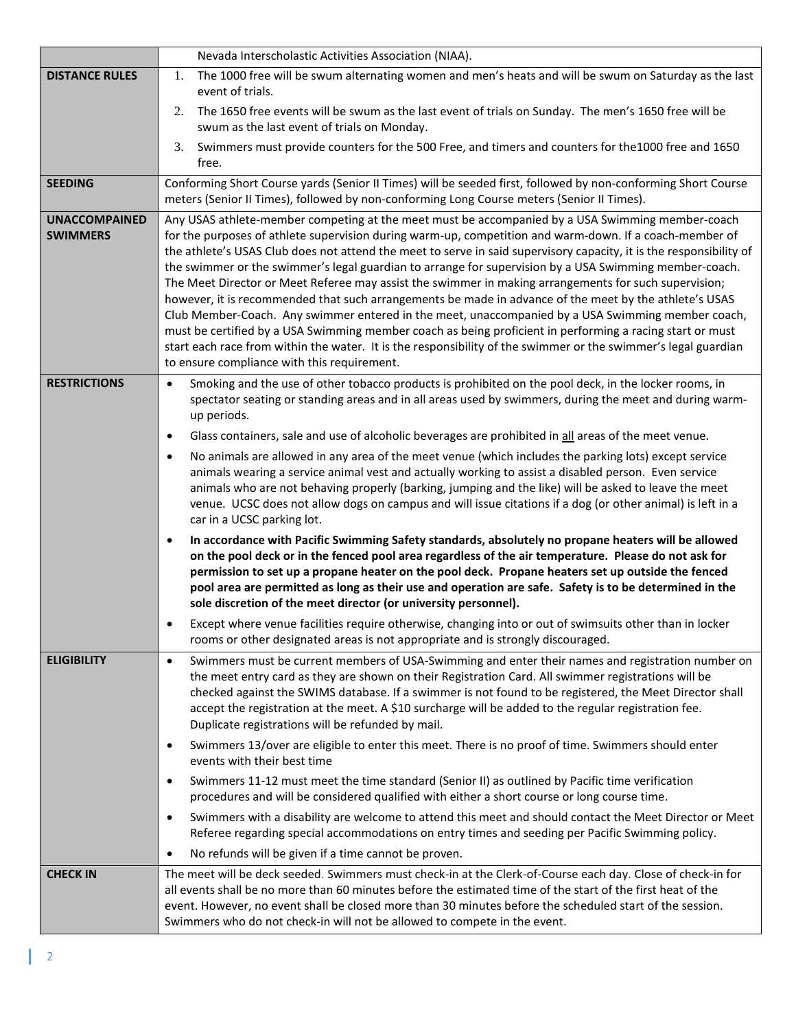|                                         | Nevada Interscholastic Activities Association (NIAA).                                                                                                                                                                                                                                                                                                                                                                                                                                                                                                                                                                                                                                                                                                                                                                                                                                                                                                                                                                                              |
|-----------------------------------------|----------------------------------------------------------------------------------------------------------------------------------------------------------------------------------------------------------------------------------------------------------------------------------------------------------------------------------------------------------------------------------------------------------------------------------------------------------------------------------------------------------------------------------------------------------------------------------------------------------------------------------------------------------------------------------------------------------------------------------------------------------------------------------------------------------------------------------------------------------------------------------------------------------------------------------------------------------------------------------------------------------------------------------------------------|
| <b>DISTANCE RULES</b>                   | The 1000 free will be swum alternating women and men's heats and will be swum on Saturday as the last<br>1.<br>event of trials.                                                                                                                                                                                                                                                                                                                                                                                                                                                                                                                                                                                                                                                                                                                                                                                                                                                                                                                    |
|                                         | 2.<br>The 1650 free events will be swum as the last event of trials on Sunday. The men's 1650 free will be<br>swum as the last event of trials on Monday.                                                                                                                                                                                                                                                                                                                                                                                                                                                                                                                                                                                                                                                                                                                                                                                                                                                                                          |
|                                         | Swimmers must provide counters for the 500 Free, and timers and counters for the 1000 free and 1650<br>3.<br>free.                                                                                                                                                                                                                                                                                                                                                                                                                                                                                                                                                                                                                                                                                                                                                                                                                                                                                                                                 |
| <b>SEEDING</b>                          | Conforming Short Course yards (Senior II Times) will be seeded first, followed by non-conforming Short Course<br>meters (Senior II Times), followed by non-conforming Long Course meters (Senior II Times).                                                                                                                                                                                                                                                                                                                                                                                                                                                                                                                                                                                                                                                                                                                                                                                                                                        |
| <b>UNACCOMPAINED</b><br><b>SWIMMERS</b> | Any USAS athlete-member competing at the meet must be accompanied by a USA Swimming member-coach<br>for the purposes of athlete supervision during warm-up, competition and warm-down. If a coach-member of<br>the athlete's USAS Club does not attend the meet to serve in said supervisory capacity, it is the responsibility of<br>the swimmer or the swimmer's legal guardian to arrange for supervision by a USA Swimming member-coach.<br>The Meet Director or Meet Referee may assist the swimmer in making arrangements for such supervision;<br>however, it is recommended that such arrangements be made in advance of the meet by the athlete's USAS<br>Club Member-Coach. Any swimmer entered in the meet, unaccompanied by a USA Swimming member coach,<br>must be certified by a USA Swimming member coach as being proficient in performing a racing start or must<br>start each race from within the water. It is the responsibility of the swimmer or the swimmer's legal guardian<br>to ensure compliance with this requirement. |
| <b>RESTRICTIONS</b>                     | Smoking and the use of other tobacco products is prohibited on the pool deck, in the locker rooms, in<br>$\bullet$<br>spectator seating or standing areas and in all areas used by swimmers, during the meet and during warm-<br>up periods.                                                                                                                                                                                                                                                                                                                                                                                                                                                                                                                                                                                                                                                                                                                                                                                                       |
|                                         | Glass containers, sale and use of alcoholic beverages are prohibited in all areas of the meet venue.<br>$\bullet$                                                                                                                                                                                                                                                                                                                                                                                                                                                                                                                                                                                                                                                                                                                                                                                                                                                                                                                                  |
|                                         | No animals are allowed in any area of the meet venue (which includes the parking lots) except service<br>$\bullet$<br>animals wearing a service animal vest and actually working to assist a disabled person. Even service<br>animals who are not behaving properly (barking, jumping and the like) will be asked to leave the meet<br>venue. UCSC does not allow dogs on campus and will issue citations if a dog (or other animal) is left in a<br>car in a UCSC parking lot.                                                                                                                                                                                                                                                                                                                                                                                                                                                                                                                                                                    |
|                                         | In accordance with Pacific Swimming Safety standards, absolutely no propane heaters will be allowed<br>$\bullet$<br>on the pool deck or in the fenced pool area regardless of the air temperature. Please do not ask for<br>permission to set up a propane heater on the pool deck. Propane heaters set up outside the fenced<br>pool area are permitted as long as their use and operation are safe. Safety is to be determined in the<br>sole discretion of the meet director (or university personnel).                                                                                                                                                                                                                                                                                                                                                                                                                                                                                                                                         |
|                                         | Except where venue facilities require otherwise, changing into or out of swimsuits other than in locker<br>rooms or other designated areas is not appropriate and is strongly discouraged.                                                                                                                                                                                                                                                                                                                                                                                                                                                                                                                                                                                                                                                                                                                                                                                                                                                         |
| <b>ELIGIBILITY</b>                      | Swimmers must be current members of USA-Swimming and enter their names and registration number on<br>$\bullet$<br>the meet entry card as they are shown on their Registration Card. All swimmer registrations will be<br>checked against the SWIMS database. If a swimmer is not found to be registered, the Meet Director shall<br>accept the registration at the meet. A \$10 surcharge will be added to the regular registration fee.<br>Duplicate registrations will be refunded by mail.                                                                                                                                                                                                                                                                                                                                                                                                                                                                                                                                                      |
|                                         | Swimmers 13/over are eligible to enter this meet. There is no proof of time. Swimmers should enter<br>$\bullet$<br>events with their best time                                                                                                                                                                                                                                                                                                                                                                                                                                                                                                                                                                                                                                                                                                                                                                                                                                                                                                     |
|                                         | Swimmers 11-12 must meet the time standard (Senior II) as outlined by Pacific time verification<br>$\bullet$<br>procedures and will be considered qualified with either a short course or long course time.                                                                                                                                                                                                                                                                                                                                                                                                                                                                                                                                                                                                                                                                                                                                                                                                                                        |
|                                         | Swimmers with a disability are welcome to attend this meet and should contact the Meet Director or Meet<br>$\bullet$<br>Referee regarding special accommodations on entry times and seeding per Pacific Swimming policy.                                                                                                                                                                                                                                                                                                                                                                                                                                                                                                                                                                                                                                                                                                                                                                                                                           |
|                                         | No refunds will be given if a time cannot be proven.<br>$\bullet$                                                                                                                                                                                                                                                                                                                                                                                                                                                                                                                                                                                                                                                                                                                                                                                                                                                                                                                                                                                  |
| <b>CHECK IN</b>                         | The meet will be deck seeded. Swimmers must check-in at the Clerk-of-Course each day. Close of check-in for<br>all events shall be no more than 60 minutes before the estimated time of the start of the first heat of the<br>event. However, no event shall be closed more than 30 minutes before the scheduled start of the session.<br>Swimmers who do not check-in will not be allowed to compete in the event.                                                                                                                                                                                                                                                                                                                                                                                                                                                                                                                                                                                                                                |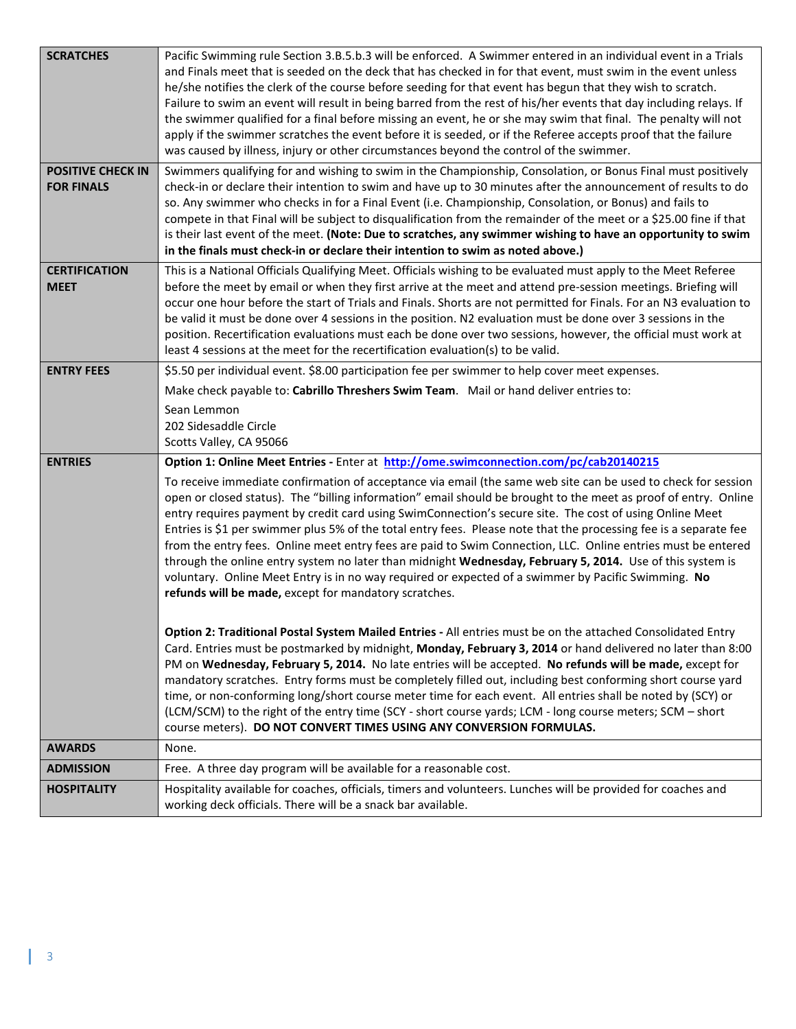| <b>SCRATCHES</b><br><b>POSITIVE CHECK IN</b><br><b>FOR FINALS</b> | Pacific Swimming rule Section 3.B.5.b.3 will be enforced. A Swimmer entered in an individual event in a Trials<br>and Finals meet that is seeded on the deck that has checked in for that event, must swim in the event unless<br>he/she notifies the clerk of the course before seeding for that event has begun that they wish to scratch.<br>Failure to swim an event will result in being barred from the rest of his/her events that day including relays. If<br>the swimmer qualified for a final before missing an event, he or she may swim that final. The penalty will not<br>apply if the swimmer scratches the event before it is seeded, or if the Referee accepts proof that the failure<br>was caused by illness, injury or other circumstances beyond the control of the swimmer.<br>Swimmers qualifying for and wishing to swim in the Championship, Consolation, or Bonus Final must positively<br>check-in or declare their intention to swim and have up to 30 minutes after the announcement of results to do<br>so. Any swimmer who checks in for a Final Event (i.e. Championship, Consolation, or Bonus) and fails to<br>compete in that Final will be subject to disqualification from the remainder of the meet or a \$25.00 fine if that<br>is their last event of the meet. (Note: Due to scratches, any swimmer wishing to have an opportunity to swim |
|-------------------------------------------------------------------|-------------------------------------------------------------------------------------------------------------------------------------------------------------------------------------------------------------------------------------------------------------------------------------------------------------------------------------------------------------------------------------------------------------------------------------------------------------------------------------------------------------------------------------------------------------------------------------------------------------------------------------------------------------------------------------------------------------------------------------------------------------------------------------------------------------------------------------------------------------------------------------------------------------------------------------------------------------------------------------------------------------------------------------------------------------------------------------------------------------------------------------------------------------------------------------------------------------------------------------------------------------------------------------------------------------------------------------------------------------------------------------|
|                                                                   | in the finals must check-in or declare their intention to swim as noted above.)                                                                                                                                                                                                                                                                                                                                                                                                                                                                                                                                                                                                                                                                                                                                                                                                                                                                                                                                                                                                                                                                                                                                                                                                                                                                                                     |
| <b>CERTIFICATION</b><br><b>MEET</b>                               | This is a National Officials Qualifying Meet. Officials wishing to be evaluated must apply to the Meet Referee<br>before the meet by email or when they first arrive at the meet and attend pre-session meetings. Briefing will<br>occur one hour before the start of Trials and Finals. Shorts are not permitted for Finals. For an N3 evaluation to<br>be valid it must be done over 4 sessions in the position. N2 evaluation must be done over 3 sessions in the<br>position. Recertification evaluations must each be done over two sessions, however, the official must work at<br>least 4 sessions at the meet for the recertification evaluation(s) to be valid.                                                                                                                                                                                                                                                                                                                                                                                                                                                                                                                                                                                                                                                                                                            |
| <b>ENTRY FEES</b>                                                 | \$5.50 per individual event. \$8.00 participation fee per swimmer to help cover meet expenses.                                                                                                                                                                                                                                                                                                                                                                                                                                                                                                                                                                                                                                                                                                                                                                                                                                                                                                                                                                                                                                                                                                                                                                                                                                                                                      |
|                                                                   | Make check payable to: Cabrillo Threshers Swim Team. Mail or hand deliver entries to:                                                                                                                                                                                                                                                                                                                                                                                                                                                                                                                                                                                                                                                                                                                                                                                                                                                                                                                                                                                                                                                                                                                                                                                                                                                                                               |
|                                                                   | Sean Lemmon<br>202 Sidesaddle Circle<br>Scotts Valley, CA 95066                                                                                                                                                                                                                                                                                                                                                                                                                                                                                                                                                                                                                                                                                                                                                                                                                                                                                                                                                                                                                                                                                                                                                                                                                                                                                                                     |
| <b>ENTRIES</b>                                                    | Option 1: Online Meet Entries - Enter at http://ome.swimconnection.com/pc/cab20140215                                                                                                                                                                                                                                                                                                                                                                                                                                                                                                                                                                                                                                                                                                                                                                                                                                                                                                                                                                                                                                                                                                                                                                                                                                                                                               |
|                                                                   | To receive immediate confirmation of acceptance via email (the same web site can be used to check for session<br>open or closed status). The "billing information" email should be brought to the meet as proof of entry. Online<br>entry requires payment by credit card using SwimConnection's secure site. The cost of using Online Meet<br>Entries is \$1 per swimmer plus 5% of the total entry fees. Please note that the processing fee is a separate fee<br>from the entry fees. Online meet entry fees are paid to Swim Connection, LLC. Online entries must be entered<br>through the online entry system no later than midnight Wednesday, February 5, 2014. Use of this system is<br>voluntary. Online Meet Entry is in no way required or expected of a swimmer by Pacific Swimming. No<br>refunds will be made, except for mandatory scratches.                                                                                                                                                                                                                                                                                                                                                                                                                                                                                                                       |
|                                                                   | <b>Option 2: Traditional Postal System Mailed Entries - All entries must be on the attached Consolidated Entry</b><br>Card. Entries must be postmarked by midnight, Monday, February 3, 2014 or hand delivered no later than 8:00<br>PM on Wednesday, February 5, 2014. No late entries will be accepted. No refunds will be made, except for<br>mandatory scratches. Entry forms must be completely filled out, including best conforming short course yard<br>time, or non-conforming long/short course meter time for each event. All entries shall be noted by (SCY) or<br>(LCM/SCM) to the right of the entry time (SCY - short course yards; LCM - long course meters; SCM - short<br>course meters). DO NOT CONVERT TIMES USING ANY CONVERSION FORMULAS.                                                                                                                                                                                                                                                                                                                                                                                                                                                                                                                                                                                                                     |
| <b>AWARDS</b>                                                     | None.                                                                                                                                                                                                                                                                                                                                                                                                                                                                                                                                                                                                                                                                                                                                                                                                                                                                                                                                                                                                                                                                                                                                                                                                                                                                                                                                                                               |
| <b>ADMISSION</b>                                                  | Free. A three day program will be available for a reasonable cost.                                                                                                                                                                                                                                                                                                                                                                                                                                                                                                                                                                                                                                                                                                                                                                                                                                                                                                                                                                                                                                                                                                                                                                                                                                                                                                                  |
| <b>HOSPITALITY</b>                                                | Hospitality available for coaches, officials, timers and volunteers. Lunches will be provided for coaches and<br>working deck officials. There will be a snack bar available.                                                                                                                                                                                                                                                                                                                                                                                                                                                                                                                                                                                                                                                                                                                                                                                                                                                                                                                                                                                                                                                                                                                                                                                                       |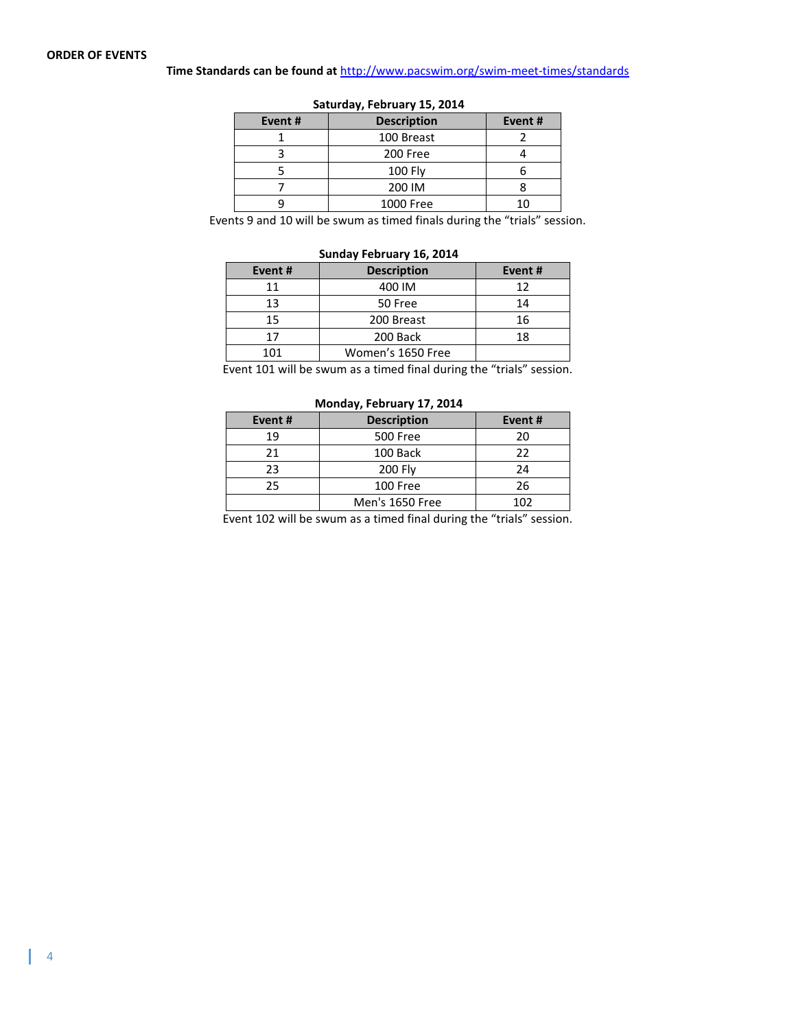## **Time Standards can be found at** <http://www.pacswim.org/swim-meet-times/standards>

| Event# | <b>Description</b> | Event# |  |  |  |  |  |  |  |
|--------|--------------------|--------|--|--|--|--|--|--|--|
|        | 100 Breast         |        |  |  |  |  |  |  |  |
|        | 200 Free           |        |  |  |  |  |  |  |  |
|        | <b>100 Fly</b>     |        |  |  |  |  |  |  |  |
|        | 200 IM             |        |  |  |  |  |  |  |  |
|        | 1000 Free          |        |  |  |  |  |  |  |  |
|        |                    |        |  |  |  |  |  |  |  |

**Saturday, February 15, 2014**

Events 9 and 10 will be swum as timed finals during the "trials" session.

## **Sunday February 16, 2014 Event # Description Event #** 11 400 IM 12 13 50 Free 14 15 | 200 Breast | 16 17 200 Back 18 101 | Women's 1650 Free

Event 101 will be swum as a timed final during the "trials" session.

## **Monday, February 17, 2014 Event # Description Event #** 19 500 Free 20 21 100 Back 22 23 200 Fly 24 25 100 Free 26 Men's 1650 Free 102

Event 102 will be swum as a timed final during the "trials" session.